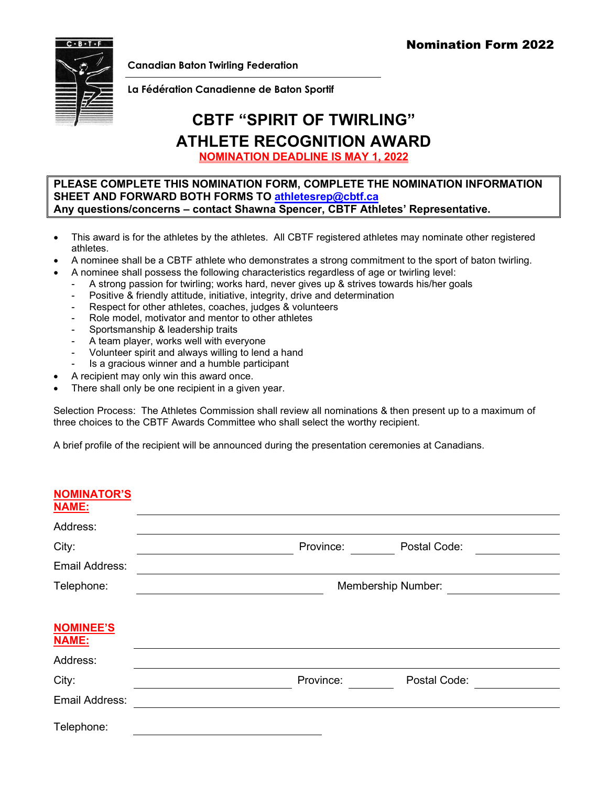

**Canadian Baton Twirling Federation**

**La Fédération Canadienne de Baton Sportif**

## **CBTF "SPIRIT OF TWIRLING" ATHLETE RECOGNITION AWARD**

**NOMINATION DEADLINE IS MAY 1, 2022** 

## **PLEASE COMPLETE THIS NOMINATION FORM, COMPLETE THE NOMINATION INFORMATION SHEET AND FORWARD BOTH FORMS TO [athletesrep@cbtf.ca](mailto:athletesrep@cbtf.ca) Any questions/concerns – contact Shawna Spencer, CBTF Athletes' Representative.**

- This award is for the athletes by the athletes. All CBTF registered athletes may nominate other registered athletes.
- A nominee shall be a CBTF athlete who demonstrates a strong commitment to the sport of baton twirling.
	- A nominee shall possess the following characteristics regardless of age or twirling level:
		- A strong passion for twirling; works hard, never gives up & strives towards his/her goals
		- Positive & friendly attitude, initiative, integrity, drive and determination
		- Respect for other athletes, coaches, judges & volunteers
		- Role model, motivator and mentor to other athletes
		- Sportsmanship & leadership traits
		- A team player, works well with everyone
		- Volunteer spirit and always willing to lend a hand
		- Is a gracious winner and a humble participant
- A recipient may only win this award once.
- There shall only be one recipient in a given year.

Selection Process: The Athletes Commission shall review all nominations & then present up to a maximum of three choices to the CBTF Awards Committee who shall select the worthy recipient.

A brief profile of the recipient will be announced during the presentation ceremonies at Canadians.

| <b>NOMINATOR'S</b><br><b>NAME:</b> |                    |              |
|------------------------------------|--------------------|--------------|
| Address:                           |                    |              |
|                                    | Province:          | Postal Code: |
| City:                              |                    |              |
| Email Address:                     |                    |              |
| Telephone:                         | Membership Number: |              |
|                                    |                    |              |
| <b>NOMINEE'S</b><br><b>NAME:</b>   |                    |              |
| Address:                           |                    |              |
| City:                              | Province:          | Postal Code: |
|                                    |                    |              |
| Email Address:                     |                    |              |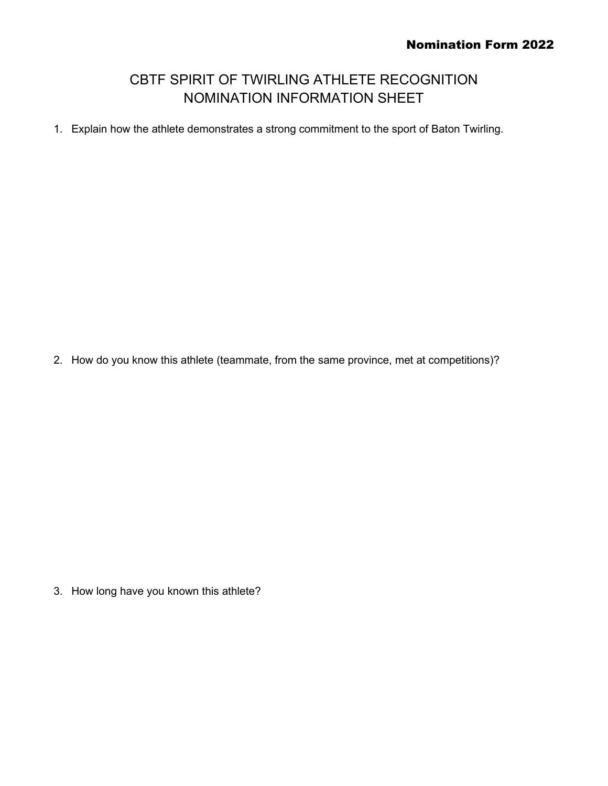## CBTF SPIRIT OF TWIRLING ATHLETE RECOGNITION NOMINATION INFORMATION SHEET

1. Explain how the athlete demonstrates a strong commitment to the sport of Baton Twirling.

2. How do you know this athlete (teammate, from the same province, met at competitions)?

3. How long have you known this athlete?